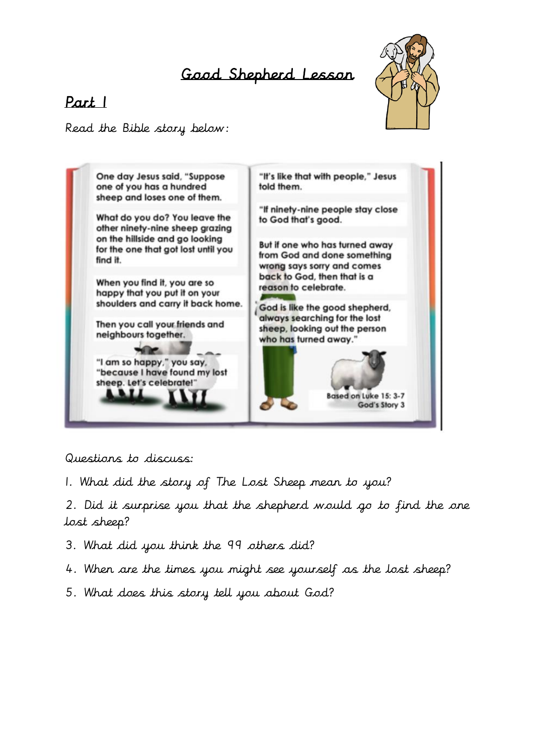# Good Shepherd Lesson

# Part 1



Read the Bible story below:



Questions to discuss:

1. What did the story of The Lost Sheep mean to you?

2. Did it surprise you that the shepherd would go to find the one lost sheep?

- 3. What did you think the 99 others did?
- 4. When are the times you might see yourself as the lost sheep?
- 5. What does this story tell you about God?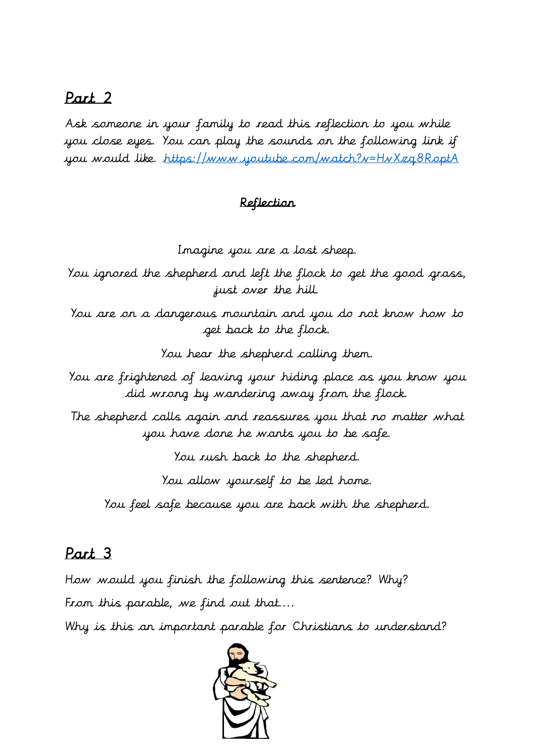## Part 2

Ask someone in your family to read this reflection to you while you close eyes. You can play the sounds on the following link if you would like.<https://www.youtube.com/watch?v=HvXzq8RoptA>

#### Reflection

Imagine you are a lost sheep.

You ignored the shepherd and left the flock to get the good grass, just over the hill.

You are on a dangerous mountain and you do not know how to get back to the flock.

You hear the shepherd calling them.

You are frightened of leaving your hiding place as you know you did wrong by wandering away from the flock.

The shepherd calls again and reassures you that no matter what you have done he wants you to be safe.

You rush back to the shepherd.

You allow yourself to be led home.

You feel safe because you are back with the shepherd.

### Part 3

How would you finish the following this sentence? Why? From this parable, we find out that....

Why is this an important parable for Christians to understand?